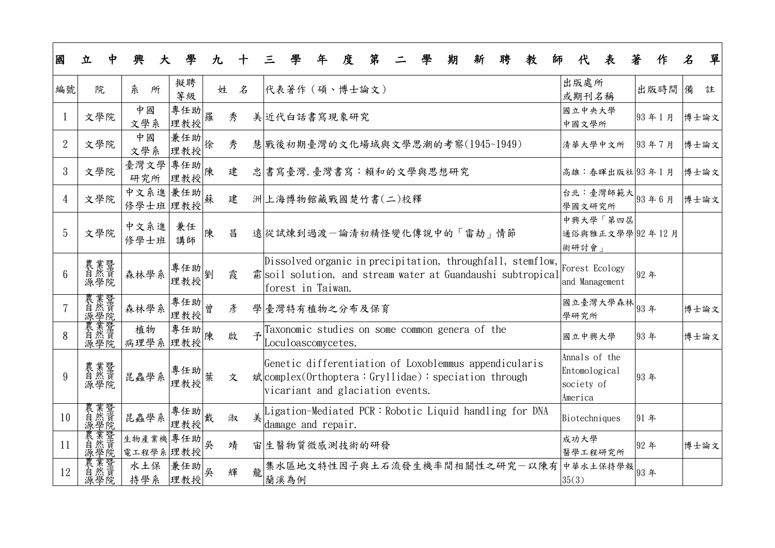| 國               | 立                 | 興<br>大               |            | 九 |   |   |                                                                                                                                                                     | 度 | 第 |  | 期 | 新 | 聘 | 教 | 師 |                                                         | 表                                | 著    | 作     | 名    | 單    |
|-----------------|-------------------|----------------------|------------|---|---|---|---------------------------------------------------------------------------------------------------------------------------------------------------------------------|---|---|--|---|---|---|---|---|---------------------------------------------------------|----------------------------------|------|-------|------|------|
| 編號              | 院                 | 糸<br>所               | 擬聘<br>等級   | 姓 | 名 |   | 代表著作 (碩、博士論文)                                                                                                                                                       |   |   |  |   |   |   |   |   | 出版處所<br>或期刊名稱                                           |                                  |      | 出版時間  | 備    | 註    |
|                 | 文學院               | 中國<br>文學系            | 專任助<br>理教授 | 羅 | 秀 |   | 美近代白話書寫現象研究                                                                                                                                                         |   |   |  |   |   |   |   |   | 國立中央大學<br>中國文學所                                         |                                  |      | 93年1月 | 博士論文 |      |
| $\overline{2}$  | 文學院               | 中國<br>文學系            | 兼任助<br>理教授 | 徐 | 秀 |   | 慧 戰後初期臺灣的文化場域與文學思潮的考察(1945~1949)                                                                                                                                    |   |   |  |   |   |   |   |   |                                                         | 清華大學中文所                          |      | 93年7月 | 博士論文 |      |
| 3               | 文學院               | 臺灣文學<br>研究所          | 專任助<br>理教授 | 陳 | 建 |   | 忠 書寫臺灣. 臺灣書寫:賴和的文學與思想研究                                                                                                                                             |   |   |  |   |   |   |   |   |                                                         | 高雄:春暉出版社 93年1月                   |      |       | 博士論文 |      |
| 4               | 文學院               | 中文系進 兼任助<br>修學士班 理教授 |            | 蘇 | 建 |   | 洲上海博物館藏戰國楚竹書(二)校釋                                                                                                                                                   |   |   |  |   |   |   |   |   | 學國文研究所                                                  | 台北:臺灣師範大 93年6月                   |      |       | 博士論文 |      |
| 5               | 文學院               | 中文系進<br>修學士班         | 兼任<br>講師   | 陳 | 昌 |   | 遠從試煉到過渡一論清初精怪變化傳說中的「雷劫」情節                                                                                                                                           |   |   |  |   |   |   |   |   | 術研討會」                                                   | 中興大學「第四屆<br>通俗與雅正文學學 92年12月      |      |       |      |      |
| $6\overline{6}$ | 農業然學院<br>新樂院      | 森林學系                 | 專任助<br>理教授 | 劉 | 霞 |   | Dissolved organic in precipitation, throughfall, stemflow,<br>霦soil solution, and stream water at Guandaushi subtropical<br>forest in Taiwan.                       |   |   |  |   |   |   |   |   |                                                         | Forest Ecology<br>and Management | 92年  |       |      |      |
|                 | 農<br>業然學<br>源學    | 森林學系                 | 專任助<br>理教授 | 曾 | 彥 |   | 學臺灣特有植物之分布及保育                                                                                                                                                       |   |   |  |   |   |   |   |   | 學研究所                                                    |                                  |      |       | 博士論文 |      |
| 8               | 農業然學院             | 植物<br>病理學系           | 專任助<br>理教授 | 陳 | 啟 |   | Taxonomic studies on some common genera of the<br>Loculoascomycetes.                                                                                                |   |   |  |   |   |   |   |   | 國立中興大學                                                  |                                  | 93年  |       |      | 博士論文 |
| 9               | 農業<br>業然學院        | 昆蟲學系                 | 專任助<br>理教授 |   | 文 |   | Genetic differentiation of Loxoblemmus appendicularis<br>$\hat{\mathbf{x}}$ complex (0rthoptera: Gryllidae): speciation through<br>vicariant and glaciation events. |   |   |  |   |   |   |   |   | Annals of the<br>Entomological<br>society of<br>America |                                  | 93年  |       |      |      |
| 10              | 農自源農自源            | 昆蟲學系                 | 專任助<br>理教授 | 戴 | 淑 | 美 | Ligation-Mediated PCR: Robotic Liquid handling for DNA<br>damage and repair.                                                                                        |   |   |  |   |   |   |   |   | Biotechniques                                           |                                  | 91 年 |       |      |      |
| <sup>11</sup>   |                   | 生物產業機<br>電工程學系 理教授   | 專任助        | 吳 | 靖 |   | 宙 生醫物質微感測技術的研發                                                                                                                                                      |   |   |  |   |   |   |   |   | 成功大學                                                    | 醫學工程研究所                          | 92年  |       | 博士論文 |      |
| 12              | <b>葉暨真</b><br>源學院 | 水土保<br>持學系           | 兼任助<br>理教授 | 吳 | 輝 | 龍 | 集水區地文特性因子與土石流發生機率間相關性之研究一以陳有<br>蘭溪為例                                                                                                                                |   |   |  |   |   |   |   |   | 35(3)                                                   | 中華水土保持學報 93年                     |      |       |      |      |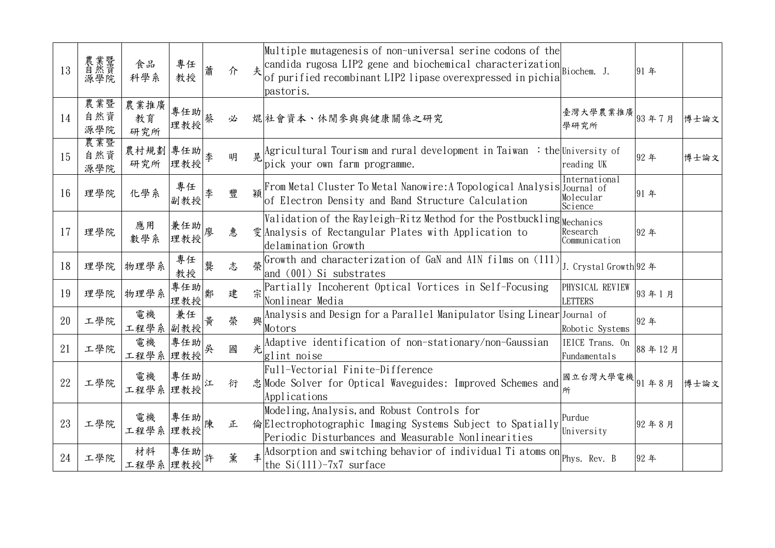| 13 | 農業然學院<br>新然學院     | 食品<br>科學系          | 專任<br>教授                             |   | 介 |   | Multiple mutagenesis of non-universal serine codons of the<br>candida rugosa LIP2 gene and biochemical characterization<br>of purified recombinant LIP2 lipase overexpressed in pichia<br>pastoris. |                                       | 91 年   |      |
|----|-------------------|--------------------|--------------------------------------|---|---|---|-----------------------------------------------------------------------------------------------------------------------------------------------------------------------------------------------------|---------------------------------------|--------|------|
| 14 | 農業暨<br>自然資<br>源學院 | 農業推廣<br>教育<br>研究所  | 專任助 <br> <br> <br> <br> <br> <br>理教授 |   | 必 |   | 焜 社會資本、休閒參與與健康關係之研究                                                                                                                                                                                 | 臺灣大學農業推廣 <br> 93年7月<br>學研究所           |        | 博士論文 |
| 15 | 農業暨<br>自然資<br>源學院 | 農村規劃 專任助<br>研究所    | 理教授                                  |   | 明 |   | $\Delta$  Agricultural Tourism and rural development in Taiwan : the University of<br>pick your own farm programme.                                                                                 | reading UK                            | 92年    | 博士論文 |
| 16 | 理學院               | 化學系                | 專任<br>副教授                            |   | 豐 |   | From Metal Cluster To Metal Nanowire: A Topological Analysis Journal of<br>of Electron Density and Band Structure Calculation                                                                       | International<br>Molecular<br>Science | 91年    |      |
| 17 | 理學院               | 應用<br>數學系          | 兼任助<br>理教授                           |   | 惠 |   | $\sqrt{\text{Validation}}$ of the Rayleigh-Ritz Method for the Postbuckling $\text{Mcchanics}$<br>雯 Analysis of Rectangular Plates with Application to<br>delamination Growth                       | Research<br>Communication             | 92年    |      |
| 18 | 理學院               | 物理學系               | 專任<br>教授                             | 龔 | 志 |   | Growth and characterization of GaN and A1N films on (111)<br>and $(001)$ Si substrates                                                                                                              | J. Crystal Growth 92 年                |        |      |
| 19 | 理學院               | 物理學系               | 專任助<br>理教授郎                          |   | 建 |   | Partially Incoherent Optical Vortices in Self-Focusing<br>Nonlinear Media                                                                                                                           | PHYSICAL REVIEW<br><b>LETTERS</b>     | 93年1月  |      |
| 20 | 工學院               | 電機<br>工程學系         | 兼任<br>副教授                            | 黄 | 榮 | 興 | Analysis and Design for a Parallel Manipulator Using Linear Journal of<br>Motors                                                                                                                    | Robotic Systems                       | 92年    |      |
| 21 | 工學院               | 電機<br>工程學系         | 專任助<br>理教授                           | 吳 | 國 |   | Adaptive identification of non-stationary/non-Gaussian<br>glint noise                                                                                                                               | IEICE Trans. On<br>Fundamentals       | 88年12月 |      |
| 22 | 工學院               | 電機 專任助<br>工程學系 理教授 |                                      |   | 衍 |   | Full-Vectorial Finite-Difference<br>忠 Mode Solver for Optical Waveguides: Improved Schemes and<br>Applications                                                                                      | 國立台灣大學電機 <br> 国立台灣大學電機                |        | 博士論文 |
| 23 | 工學院               | 電機<br>工程學系 理教授     | 專任助                                  |   | 正 |   | Modeling, Analysis, and Robust Controls for<br>倫Electrophotographic Imaging Systems Subject to Spatially<br>Periodic Disturbances and Measurable Nonlinearities                                     | Purdue<br>University                  | 92年8月  |      |
| 24 | 工學院               | 材料<br>工程學系         | 專任助<br>理教授                           |   | 薰 |   | Adsorption and switching behavior of individual Ti atoms on Phys. Rev. B<br>the $Si(111)$ -7x7 surface                                                                                              |                                       | 92年    |      |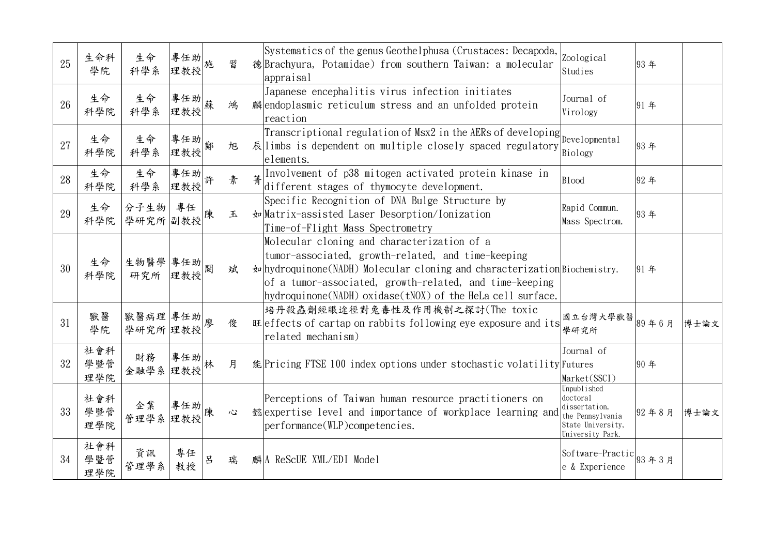| 25 | 生命科<br>學院         | 生命<br>科學系           | 專任助<br>理教授        |   | 習 | Systematics of the genus Geothelphusa (Crustaces: Decapoda,<br>德Brachyura, Potamidae) from southern Taiwan: a molecular<br>appraisal                                                                                                                                                                                   | Zoological<br>Studies                                                                                 | 93年   |      |
|----|-------------------|---------------------|-------------------|---|---|------------------------------------------------------------------------------------------------------------------------------------------------------------------------------------------------------------------------------------------------------------------------------------------------------------------------|-------------------------------------------------------------------------------------------------------|-------|------|
| 26 | 生命<br>科學院         | 生命<br>科學系           | 專任助 <br> 蘇<br>理教授 |   | 鴻 | Japanese encephalitis virus infection initiates<br>麟endoplasmic reticulum stress and an unfolded protein<br>reaction                                                                                                                                                                                                   | Journal of<br>Virology                                                                                | 91年   |      |
| 27 | 生命<br>科學院         | 生命<br>科學系           | 專任助<br>理教授        |   | 旭 | Transcriptional regulation of Msx2 in the AERs of developing<br>Developmental<br>$\bar{\mathcal{R}}$ limbs is dependent on multiple closely spaced regulatory<br>elements.                                                                                                                                             | Biology                                                                                               | 93年   |      |
| 28 | 生命<br>科學院         | 生命<br>科學系           | 專任助<br>理教授        |   | 素 | Involvement of p38 mitogen activated protein kinase in<br>different stages of thymocyte development.                                                                                                                                                                                                                   | <b>Blood</b>                                                                                          | 92年   |      |
| 29 | 生命<br>科學院         | 分子生物 <br>學研究所副教授    | 專任                |   | 玉 | Specific Recognition of DNA Bulge Structure by<br>†w Matrix-assisted Laser Desorption/Ionization<br>Time-of-Flight Mass Spectrometry                                                                                                                                                                                   | Rapid Commun.<br>Mass Spectrom.                                                                       | 93年   |      |
| 30 | 生命<br>科學院         | 生物醫學 專任助<br>研究所 理教授 |                   |   | 斌 | Molecular cloning and characterization of a<br>tumor-associated, growth-related, and time-keeping<br>$\frac{1}{2}$ hydroquinone(NADH) Molecular cloning and characterization Biochemistry.<br>of a tumor-associated, growth-related, and time-keeping<br>$[hydroquinone(NADH) oxidase(tN0X)$ of the HeLa cell surface. |                                                                                                       | 91年   |      |
| 31 | 獸醫<br>學院          | 獸醫病理 專任助<br>學研究所理教授 |                   |   | 俊 | 培丹殺蟲劑經眼途徑對兔毒性及作用機制之探討(The toxic<br>Eleffects of cartap on rabbits following eye exposure and its<br>related mechanism)                                                                                                                                                                                                 | 國立台灣大學獸醫<br>學研究所                                                                                      | 89年6月 | 博士論文 |
| 32 | 社會科<br>學暨管<br>理學院 | 財務<br>金融學系          | 專任助<br>理教授        |   | 月 | 能Pricing FTSE 100 index options under stochastic volatility Futures                                                                                                                                                                                                                                                    | Journal of<br>Market(SSCI)                                                                            | 90年   |      |
| 33 | 社會科<br>學暨管<br>理學院 | 企業<br>管理學系 理教授      | 專任助               |   | 心 | Perceptions of Taiwan human resource practitioners on<br>懿expertise level and importance of workplace learning and<br>$performance(WLP)$ competencies.                                                                                                                                                                 | Unpublished<br>doctoral<br>dissertation,<br>the Pennsylvania<br>State University,<br>University Park. | 92年8月 | 博士論文 |
| 34 | 社會科<br>學暨管<br>理學院 | 資訊<br>管理學系          | 專任<br>教授          | E | 瑞 | 麟A ReScUE XML/EDI Model                                                                                                                                                                                                                                                                                                | Software-Practic 93 年 3 月<br>e & Experience                                                           |       |      |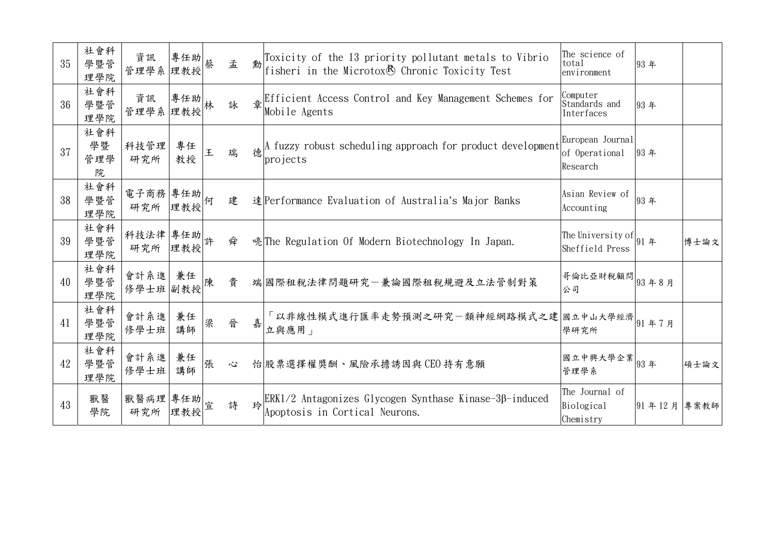| 35 | 社會科<br>學暨管<br>理學院     | 資訊<br>管理學系 理教授   | 專任助           |   | 孟 |   | Toxicity of the 13 priority pollutant metals to Vibrio<br>fisheri in the Microtox <sup>®</sup> Chronic Toxicity Test | The science of<br>total<br>environment         | 93年    |      |
|----|-----------------------|------------------|---------------|---|---|---|----------------------------------------------------------------------------------------------------------------------|------------------------------------------------|--------|------|
| 36 | 社會科<br>學暨管<br>理學院     | 資訊<br>管理學系 理教授   | 專任助           | 林 | 詠 |   | Efficient Access Control and Key Management Schemes for<br>Mobile Agents                                             | Computer<br>Standards and<br>Interfaces        | 93年    |      |
| 37 | 社會科<br>學暨<br>管理學<br>院 | 科技管理<br>研究所      | 專任<br>教授      | 王 | 瑞 |   | A fuzzy robust scheduling approach for product development<br>projects                                               | European Journal<br>of Operational<br>Research | 93年    |      |
| 38 | 社會科<br>學暨管<br>理學院     | 電子商務 專任助<br>研究所  | 理教授           | 何 | 建 |   | 達 Performance Evaluation of Australia's Major Banks                                                                  | Asian Review of<br>Accounting                  | 93年    |      |
| 39 | 社會科<br>學暨管<br>理學院     | 科技法律<br>研究所      | 專任助  許<br>理教授 |   | 舜 |   | 喨 The Regulation Of Modern Biotechnology In Japan.                                                                   | The University of $ 91$ 年<br>Sheffield Press   |        | 博士論文 |
| 40 | 社會科<br>學暨管<br>理學院     | 會計系進<br>修學士班 副教授 | 兼任            |   | 貴 |   | 端國際租稅法律問題研究一兼論國際租稅規避及立法管制對策                                                                                          | 哥倫比亞財稅顧問 <br> 93年8月<br>公司                      |        |      |
| 41 | 社會科<br>學暨管<br>理學院     | 會計系進<br>修學士班     | 兼任<br>講師      | 梁 | 晉 | 嘉 | 「以非線性模式進行匯率走勢預測之研究一類神經網路模式之建 國立中山大學經濟 91年7月<br>立與應用」                                                                 | 學研究所                                           |        |      |
| 42 | 社會科<br>學暨管<br>理學院     | 會計系進<br>修學士班     | 兼任<br>講師      | 張 | 心 |   | 怡 股票選擇權獎酬、風險承擔誘因與CEO持有意願                                                                                             | 國立中興大學企業<br>管理學系                               | 93年    | 碩士論文 |
| 43 | 獸醫<br>學院              | 獸醫病理<br>研究所      | 專任助<br>理教授    | 宣 | 詩 | 玲 | $ERK1/2$ Antagonizes Glycogen Synthase Kinase-3 $\beta$ -induced<br>Apoptosis in Cortical Neurons.                   | The Journal of<br>Biological<br>Chemistry      | 91年12月 | 專案教師 |